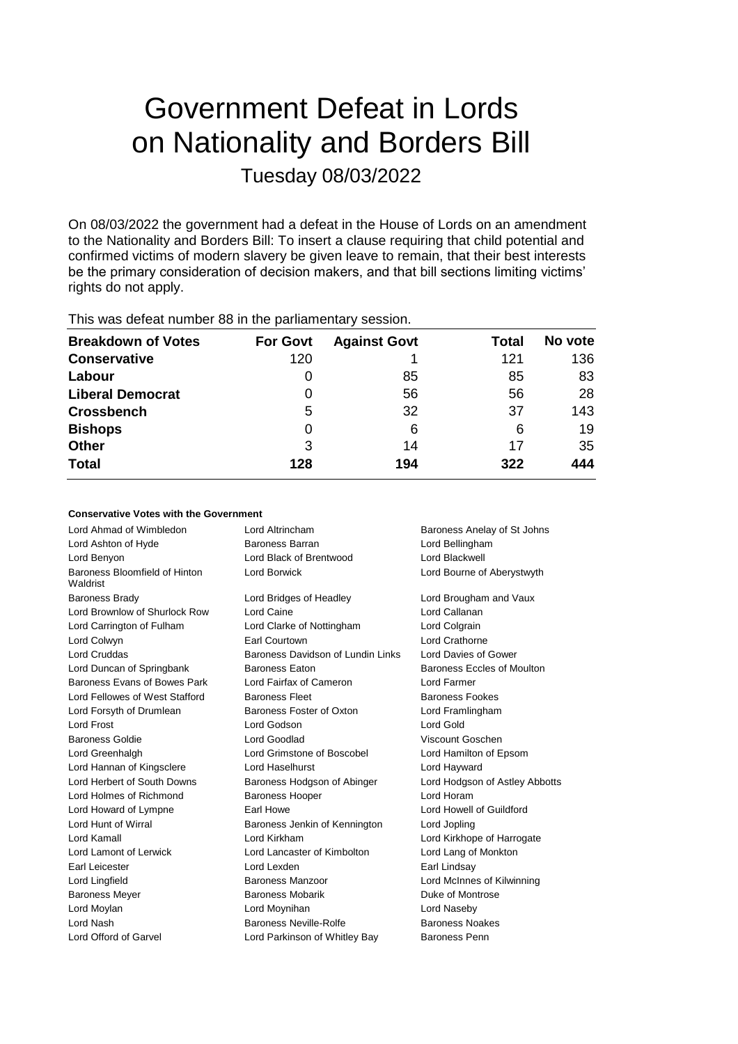# Government Defeat in Lords on Nationality and Borders Bill Tuesday 08/03/2022

On 08/03/2022 the government had a defeat in the House of Lords on an amendment to the Nationality and Borders Bill: To insert a clause requiring that child potential and confirmed victims of modern slavery be given leave to remain, that their best interests be the primary consideration of decision makers, and that bill sections limiting victims' rights do not apply.

| This was defeat number 88 in the parliamentary session. |  |
|---------------------------------------------------------|--|
|---------------------------------------------------------|--|

| <b>Breakdown of Votes</b> | <b>For Govt</b> | <b>Against Govt</b> | Total | No vote |
|---------------------------|-----------------|---------------------|-------|---------|
| <b>Conservative</b>       | 120             |                     | 121   | 136     |
| Labour                    | 0               | 85                  | 85    | 83      |
| <b>Liberal Democrat</b>   | 0               | 56                  | 56    | 28      |
| <b>Crossbench</b>         | 5               | 32                  | 37    | 143     |
| <b>Bishops</b>            | 0               | 6                   | 6     | 19      |
| <b>Other</b>              | 3               | 14                  | 17    | 35      |
| <b>Total</b>              | 128             | 194                 | 322   | 444     |

### **Conservative Votes with the Government**

| Lord Ahmad of Wimbledon                   | Lord Altrincham                   | Baroness Anelay of St Johns       |
|-------------------------------------------|-----------------------------------|-----------------------------------|
| Lord Ashton of Hyde                       | Baroness Barran                   | Lord Bellingham                   |
| Lord Benyon                               | Lord Black of Brentwood           | Lord Blackwell                    |
| Baroness Bloomfield of Hinton<br>Waldrist | Lord Borwick                      | Lord Bourne of Aberystwyth        |
| <b>Baroness Brady</b>                     | Lord Bridges of Headley           | Lord Brougham and Vaux            |
| Lord Brownlow of Shurlock Row             | Lord Caine                        | Lord Callanan                     |
| Lord Carrington of Fulham                 | Lord Clarke of Nottingham         | Lord Colgrain                     |
| Lord Colwyn                               | Earl Courtown                     | Lord Crathorne                    |
| <b>Lord Cruddas</b>                       | Baroness Davidson of Lundin Links | Lord Davies of Gower              |
| Lord Duncan of Springbank                 | <b>Baroness Eaton</b>             | <b>Baroness Eccles of Moulton</b> |
| Baroness Evans of Bowes Park              | Lord Fairfax of Cameron           | <b>Lord Farmer</b>                |
| Lord Fellowes of West Stafford            | <b>Baroness Fleet</b>             | <b>Baroness Fookes</b>            |
| Lord Forsyth of Drumlean                  | Baroness Foster of Oxton          | Lord Framlingham                  |
| <b>Lord Frost</b>                         | Lord Godson                       | Lord Gold                         |
| <b>Baroness Goldie</b>                    | <b>Lord Goodlad</b>               | Viscount Goschen                  |
| Lord Greenhalgh                           | Lord Grimstone of Boscobel        | Lord Hamilton of Epsom            |
| Lord Hannan of Kingsclere                 | Lord Haselhurst                   | Lord Hayward                      |
| Lord Herbert of South Downs               | Baroness Hodgson of Abinger       | Lord Hodgson of Astley Abbotts    |
| Lord Holmes of Richmond                   | <b>Baroness Hooper</b>            | <b>Lord Horam</b>                 |
| Lord Howard of Lympne                     | Earl Howe                         | Lord Howell of Guildford          |
| Lord Hunt of Wirral                       | Baroness Jenkin of Kennington     | Lord Jopling                      |
| Lord Kamall                               | Lord Kirkham                      | Lord Kirkhope of Harrogate        |
| Lord Lamont of Lerwick                    | Lord Lancaster of Kimbolton       | Lord Lang of Monkton              |
| Earl Leicester                            | Lord Lexden                       | Earl Lindsay                      |
| Lord Lingfield                            | <b>Baroness Manzoor</b>           | Lord McInnes of Kilwinning        |
| <b>Baroness Meyer</b>                     | <b>Baroness Mobarik</b>           | Duke of Montrose                  |
| Lord Moylan                               | Lord Moynihan                     | Lord Naseby                       |
| Lord Nash                                 | Baroness Neville-Rolfe            | <b>Baroness Noakes</b>            |
| Lord Offord of Garvel                     | Lord Parkinson of Whitley Bay     | <b>Baroness Penn</b>              |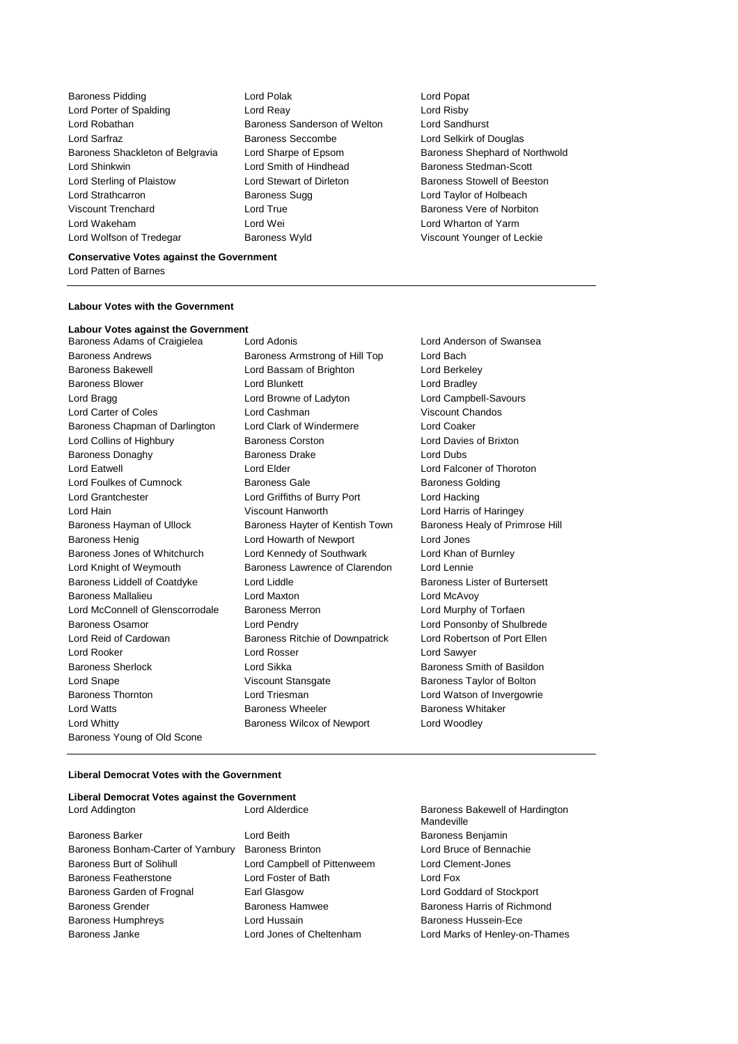Baroness Pidding **Lord Polak Lord Polace Lord Popat** Lord Popat Lord Porter of Spalding Lord Reay Lord Risby Lord Robathan Baroness Sanderson of Welton Lord Sandhurst Lord Sarfraz Baroness Seccombe Lord Selkirk of Douglas Baroness Shackleton of Belgravia Lord Sharpe of Epsom Baroness Shephard of Northwold Lord Shinkwin **Lord Smith of Hindhead** Baroness Stedman-Scott Lord Sterling of Plaistow **Lord Stewart of Dirleton** Baroness Stowell of Beeston Lord Strathcarron **Baroness Sugg Lord Taylor of Holbeach** Baroness Sugg Lord Taylor of Holbeach Viscount Trenchard **Lord True** Lord True **Baroness** Vere of Norbiton Lord Wakeham Lord Wei Lord Wharton of Yarm Lord Wolfson of Tredegar Baroness Wyld Viscount Younger of Leckie

#### **Conservative Votes against the Government** Lord Patten of Barnes

### **Labour Votes with the Government**

# **Labour Votes against the Government**

Baroness Adams of Craigielea Lord Adonis Lord Anderson of Swansea Baroness Andrews Baroness Armstrong of Hill Top Lord Bach Baroness Bakewell **Exercise Set Exercise Servers** Lord Bassam of Brighton **Lord Berkeley** Baroness Blower **Lord Blunkett** Lord Bradley **Lord Bradley** Lord Bragg Lord Browne of Ladyton Lord Campbell-Savours Lord Carter of Coles Lord Cashman Viscount Chandos Baroness Chapman of Darlington Lord Clark of Windermere Lord Coaker Lord Collins of Highbury Baroness Corston Lord Davies of Brixton Baroness Donaghy **Baroness Drake** Lord Dubs Lord Eatwell Lord Elder Lord Falconer of Thoroton Lord Foulkes of Cumnock **Baroness Gale** Baroness Colding Lord Grantchester Lord Griffiths of Burry Port Lord Hacking Lord Hain Viscount Hanworth Lord Harris of Haringey Baroness Hayman of Ullock Baroness Hayter of Kentish Town Baroness Healy of Primrose Hill Baroness Henig Lord Howarth of Newport Lord Jones Baroness Jones of Whitchurch Lord Kennedy of Southwark Lord Khan of Burnley Lord Knight of Weymouth Baroness Lawrence of Clarendon Lord Lennie Baroness Liddell of Coatdyke Lord Liddle Lord Baroness Lister of Burtersett Baroness Mallalieu Lord Maxton Lord McAvoy Lord McConnell of Glenscorrodale Baroness Merron Lord Murphy of Torfaen Baroness Osamor Lord Pendry Lord Ponsonby of Shulbrede Lord Reid of Cardowan Baroness Ritchie of Downpatrick Lord Robertson of Port Ellen Lord Rooker Lord Rosser Lord Sawyer Baroness Sherlock **Baroness** Sherlock **Lord Sikka** Baroness Smith of Basildon Lord Snape **Viscount Stansgate** Baroness Taylor of Bolton Baroness Thornton Lord Triesman Lord Watson of Invergowrie Lord Watts **Baroness Wheeler** Baroness Wheeler **Baroness Whitaker** Lord Whitty Baroness Wilcox of Newport Lord Woodley Baroness Young of Old Scone

### **Liberal Democrat Votes with the Government**

| Liberal Democrat Votes against the Government |              |
|-----------------------------------------------|--------------|
| Lord Addington                                | Lord Alderdi |

Baroness Barker Lord Beith Baroness Benjamin Baroness Bonham-Carter of Yarnbury Baroness Brinton Lord Bruce of Bennachie Baroness Burt of Solihull Lord Campbell of Pittenweem Lord Clement-Jones Baroness Featherstone Lord Foster of Bath Lord Fox Baroness Garden of Frognal Earl Glasgow Lord Goddard of Stockport Baroness Grender Baroness Hamwee Baroness Harris of Richmond Baroness Humphreys Lord Hussain Baroness Hussein-Ece Baroness Janke Lord Jones of Cheltenham Lord Marks of Henley-on-Thames

ce **Lord Addington** Baroness Bakewell of Hardington Mandeville